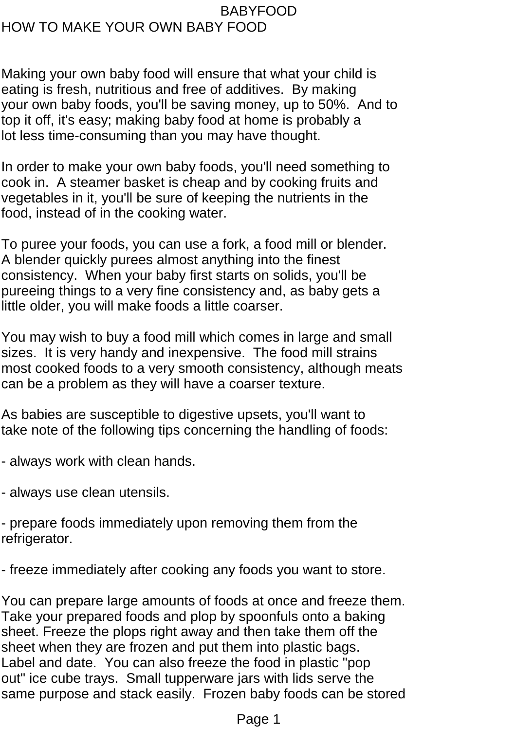## BABYFOOD HOW TO MAKE YOUR OWN BABY FOOD

Making your own baby food will ensure that what your child is eating is fresh, nutritious and free of additives. By making your own baby foods, you'll be saving money, up to 50%. And to top it off, it's easy; making baby food at home is probably a lot less time-consuming than you may have thought.

In order to make your own baby foods, you'll need something to cook in. A steamer basket is cheap and by cooking fruits and vegetables in it, you'll be sure of keeping the nutrients in the food, instead of in the cooking water.

To puree your foods, you can use a fork, a food mill or blender. A blender quickly purees almost anything into the finest consistency. When your baby first starts on solids, you'll be pureeing things to a very fine consistency and, as baby gets a little older, you will make foods a little coarser.

You may wish to buy a food mill which comes in large and small sizes. It is very handy and inexpensive. The food mill strains most cooked foods to a very smooth consistency, although meats can be a problem as they will have a coarser texture.

As babies are susceptible to digestive upsets, you'll want to take note of the following tips concerning the handling of foods:

- always work with clean hands.

- always use clean utensils.

- prepare foods immediately upon removing them from the refrigerator.

- freeze immediately after cooking any foods you want to store.

You can prepare large amounts of foods at once and freeze them. Take your prepared foods and plop by spoonfuls onto a baking sheet. Freeze the plops right away and then take them off the sheet when they are frozen and put them into plastic bags. Label and date. You can also freeze the food in plastic "pop out" ice cube trays. Small tupperware jars with lids serve the same purpose and stack easily. Frozen baby foods can be stored